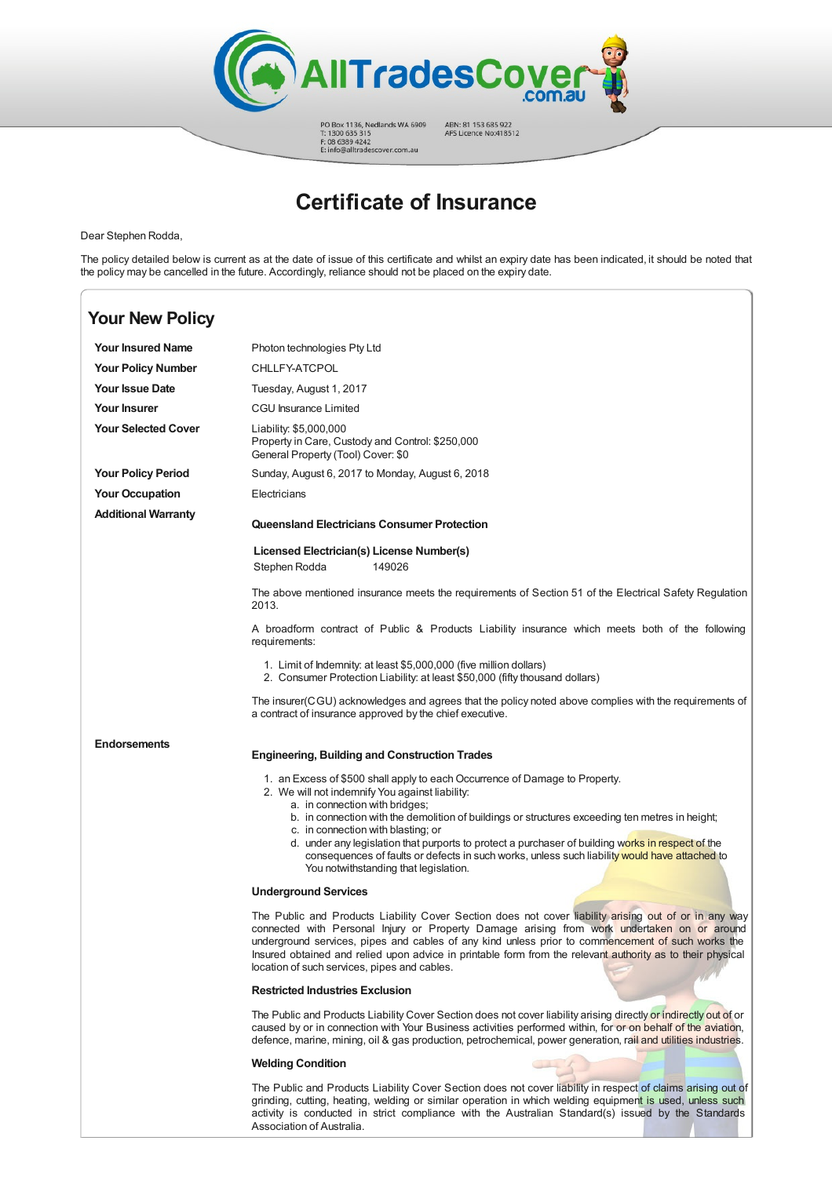

PO Box 1136, Nedlands WA 6909<br>T: 1300 635 315<br>F: 08 6389 4242<br>E: info@alltradescover.com.au

ABN: 81 153 685 922<br>AFS Licence No:418512

## **Certificate of Insurance**

Dear Stephen Rodda,

The policy detailed below is current as at the date of issue of this certificate and whilst an expiry date has been indicated, it should be noted that the policy may be cancelled in the future. Accordingly, reliance should not be placed on the expiry date.

| <b>Your New Policy</b>     |                                                                                                                                                                                                                                                                                                                                                                                                                                                                                                                                                          |
|----------------------------|----------------------------------------------------------------------------------------------------------------------------------------------------------------------------------------------------------------------------------------------------------------------------------------------------------------------------------------------------------------------------------------------------------------------------------------------------------------------------------------------------------------------------------------------------------|
| <b>Your Insured Name</b>   | Photon technologies Pty Ltd                                                                                                                                                                                                                                                                                                                                                                                                                                                                                                                              |
| <b>Your Policy Number</b>  | CHLLFY-ATCPOL                                                                                                                                                                                                                                                                                                                                                                                                                                                                                                                                            |
| <b>Your Issue Date</b>     | Tuesday, August 1, 2017                                                                                                                                                                                                                                                                                                                                                                                                                                                                                                                                  |
| <b>Your Insurer</b>        | CGU Insurance Limited                                                                                                                                                                                                                                                                                                                                                                                                                                                                                                                                    |
| <b>Your Selected Cover</b> | Liability: \$5,000,000<br>Property in Care, Custody and Control: \$250,000<br>General Property (Tool) Cover: \$0                                                                                                                                                                                                                                                                                                                                                                                                                                         |
| <b>Your Policy Period</b>  | Sunday, August 6, 2017 to Monday, August 6, 2018                                                                                                                                                                                                                                                                                                                                                                                                                                                                                                         |
| <b>Your Occupation</b>     | Electricians                                                                                                                                                                                                                                                                                                                                                                                                                                                                                                                                             |
| <b>Additional Warranty</b> | <b>Queensland Electricians Consumer Protection</b>                                                                                                                                                                                                                                                                                                                                                                                                                                                                                                       |
|                            | Licensed Electrician(s) License Number(s)<br>Stephen Rodda<br>149026                                                                                                                                                                                                                                                                                                                                                                                                                                                                                     |
|                            | The above mentioned insurance meets the requirements of Section 51 of the Electrical Safety Regulation<br>2013.                                                                                                                                                                                                                                                                                                                                                                                                                                          |
|                            | A broadform contract of Public & Products Liability insurance which meets both of the following<br>requirements:                                                                                                                                                                                                                                                                                                                                                                                                                                         |
|                            | 1. Limit of Indemnity: at least \$5,000,000 (five million dollars)<br>2. Consumer Protection Liability: at least \$50,000 (fifty thousand dollars)                                                                                                                                                                                                                                                                                                                                                                                                       |
|                            | The insurer(CGU) acknowledges and agrees that the policy noted above complies with the requirements of<br>a contract of insurance approved by the chief executive.                                                                                                                                                                                                                                                                                                                                                                                       |
| <b>Endorsements</b>        | <b>Engineering, Building and Construction Trades</b>                                                                                                                                                                                                                                                                                                                                                                                                                                                                                                     |
|                            | 1. an Excess of \$500 shall apply to each Occurrence of Damage to Property.<br>2. We will not indemnify You against liability:<br>a. in connection with bridges;<br>b. in connection with the demolition of buildings or structures exceeding ten metres in height;<br>c. in connection with blasting; or<br>d. under any legislation that purports to protect a purchaser of building works in respect of the<br>consequences of faults or defects in such works, unless such liability would have attached to<br>You notwithstanding that legislation. |
|                            | <b>Underground Services</b>                                                                                                                                                                                                                                                                                                                                                                                                                                                                                                                              |
|                            | The Public and Products Liability Cover Section does not cover liability arising out of or in any way<br>connected with Personal Injury or Property Damage arising from work undertaken on or around<br>underground services, pipes and cables of any kind unless prior to commencement of such works the<br>Insured obtained and relied upon advice in printable form from the relevant authority as to their physical<br>location of such services, pipes and cables.                                                                                  |
|                            | <b>Restricted Industries Exclusion</b>                                                                                                                                                                                                                                                                                                                                                                                                                                                                                                                   |
|                            | The Public and Products Liability Cover Section does not cover liability arising directly or indirectly out of or<br>caused by or in connection with Your Business activities performed within, for or on behalf of the aviation,<br>defence, marine, mining, oil & gas production, petrochemical, power generation, rail and utilities industries.                                                                                                                                                                                                      |
|                            | <b>Welding Condition</b>                                                                                                                                                                                                                                                                                                                                                                                                                                                                                                                                 |
|                            | The Public and Products Liability Cover Section does not cover liability in respect of claims arising out of<br>grinding, cutting, heating, welding or similar operation in which welding equipment is used, unless such<br>activity is conducted in strict compliance with the Australian Standard(s) issued by the Standards                                                                                                                                                                                                                           |

Association of Australia.